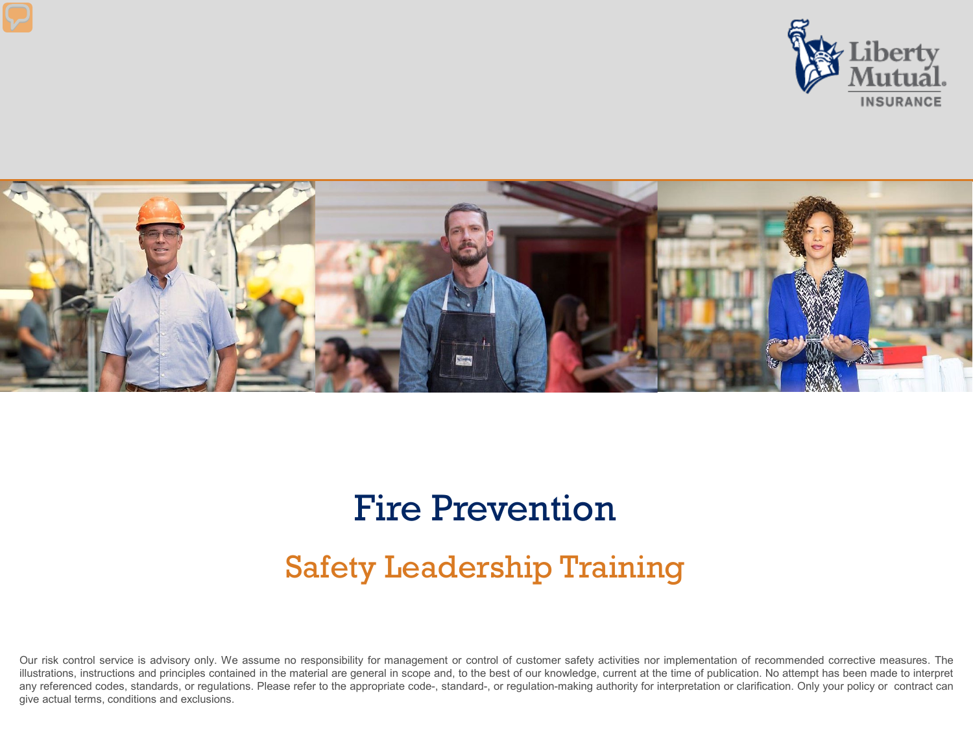



#### Fire Prevention

#### Safety Leadership Training

Our risk control service is advisory only. We assume no responsibility for management or control of customer safety activities nor implementation of recommended corrective measures. The illustrations, instructions and principles contained in the material are general in scope and, to the best of our knowledge, current at the time of publication. No attempt has been made to interpret any referenced codes, standards, or regulations. Please refer to the appropriate code-, standard-, or regulation-making authority for interpretation or clarification. Only your policy or contract can give actual terms, conditions and exclusions.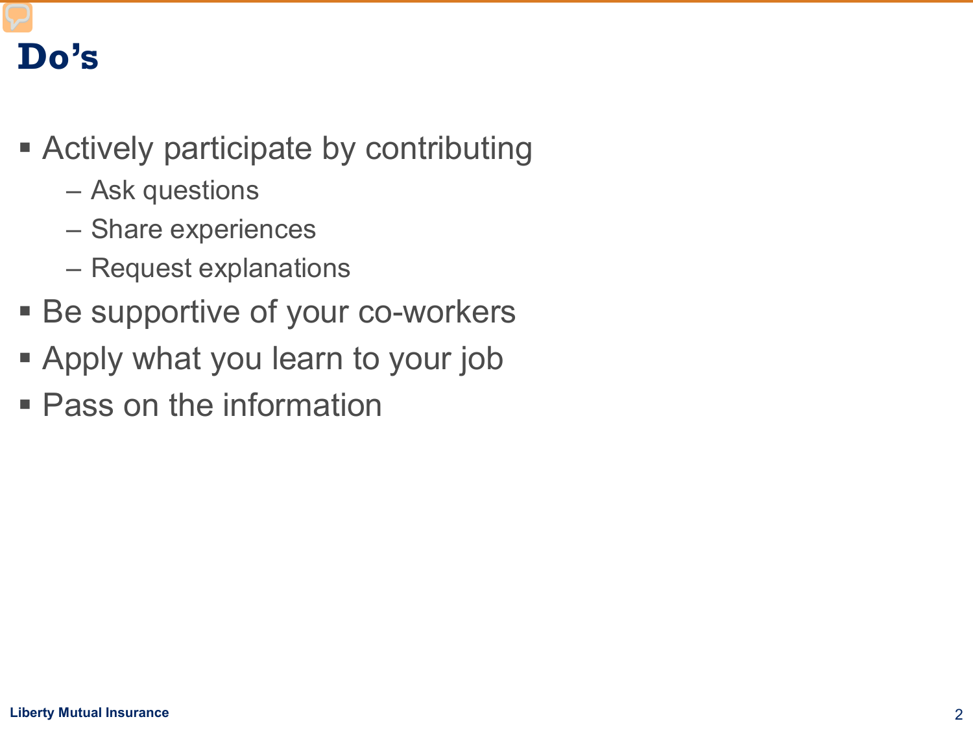#### **Do's**

- Actively participate by contributing
	- Ask questions
	- Share experiences
	- Request explanations
- Be supportive of your co-workers
- Apply what you learn to your job
- **Pass on the information**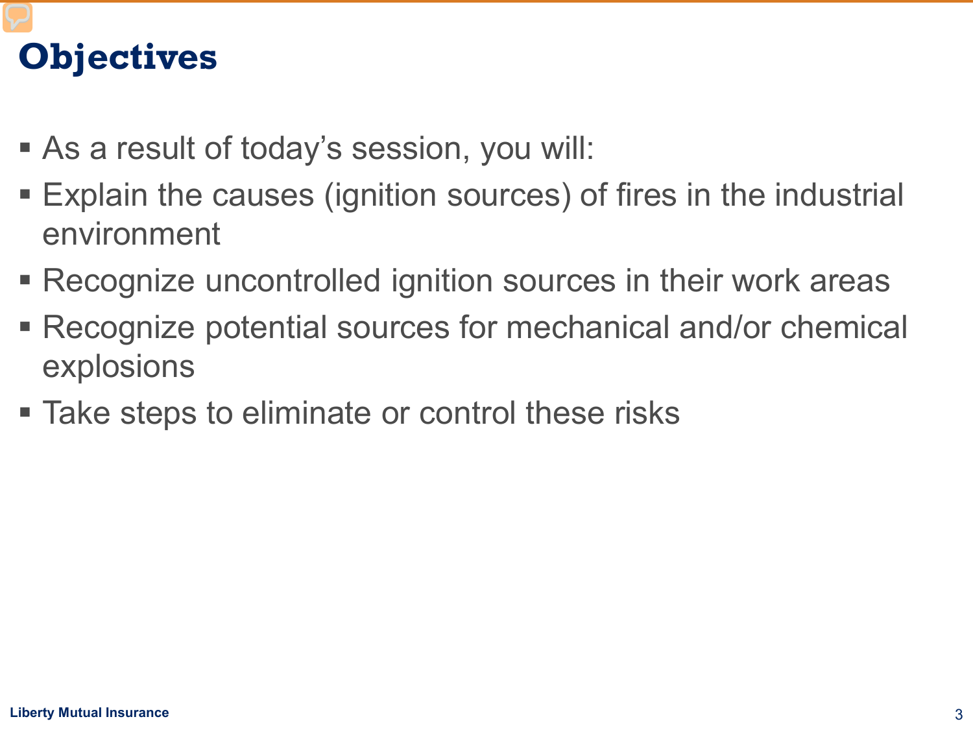# **Objectives**

- As a result of today's session, you will:
- Explain the causes (ignition sources) of fires in the industrial environment
- Recognize uncontrolled ignition sources in their work areas
- Recognize potential sources for mechanical and/or chemical explosions
- Take steps to eliminate or control these risks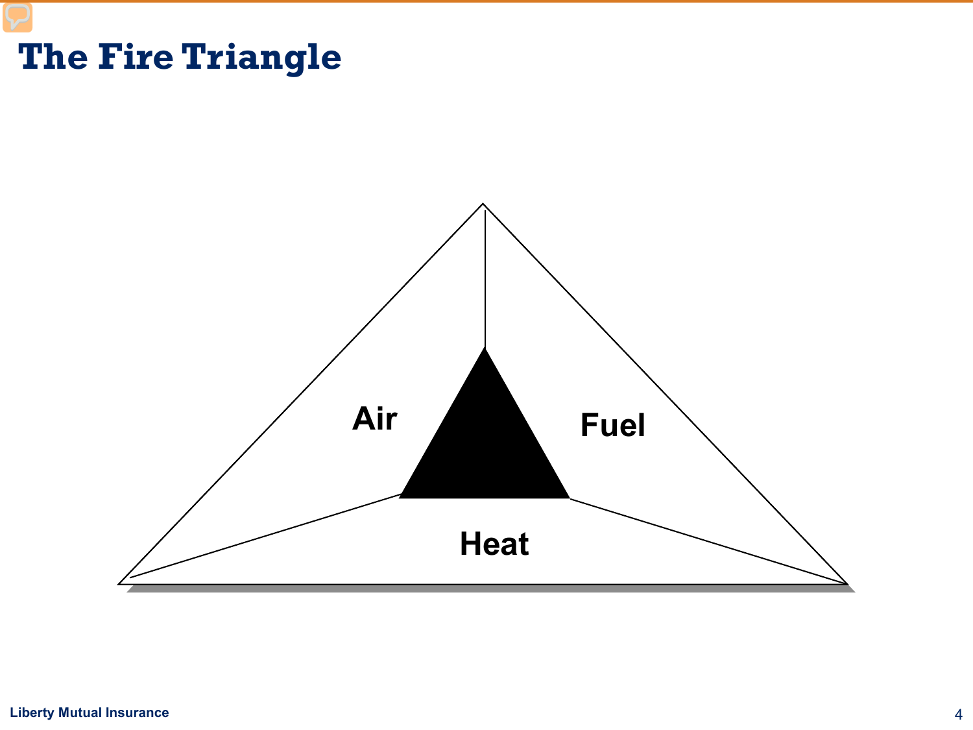#### **The Fire Triangle**



#### **Liberty Mutual Insurance** 4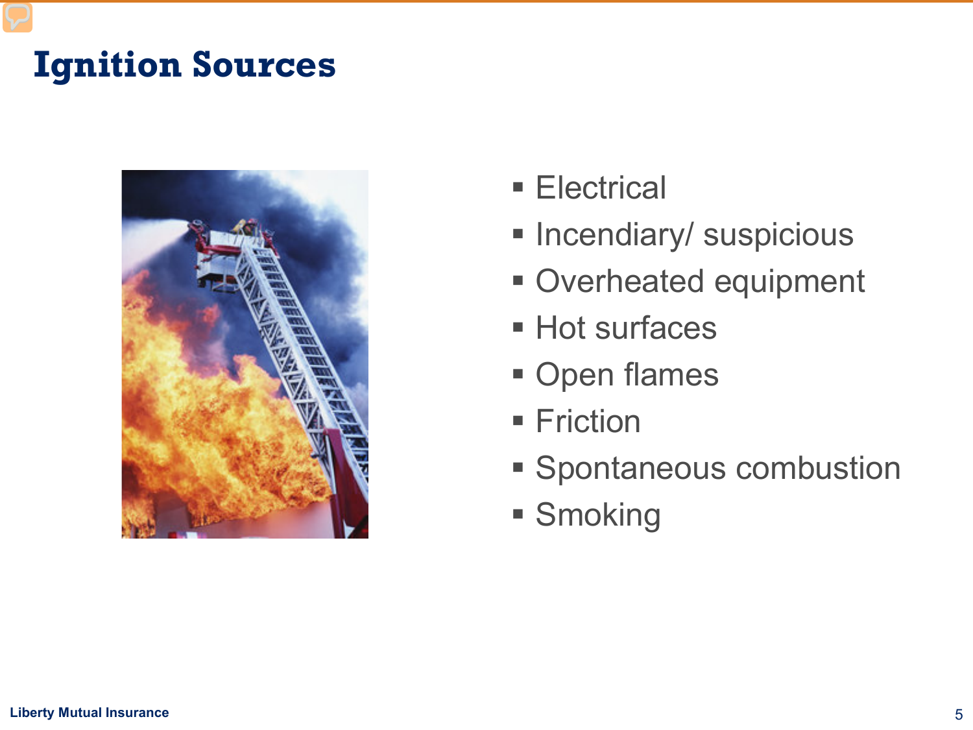# **Ignition Sources**



- **Electrical**
- **Incendiary/ suspicious**
- Overheated equipment
- **Hot surfaces**
- **Open flames**
- **Friction**
- **Spontaneous combustion**
- **Smoking**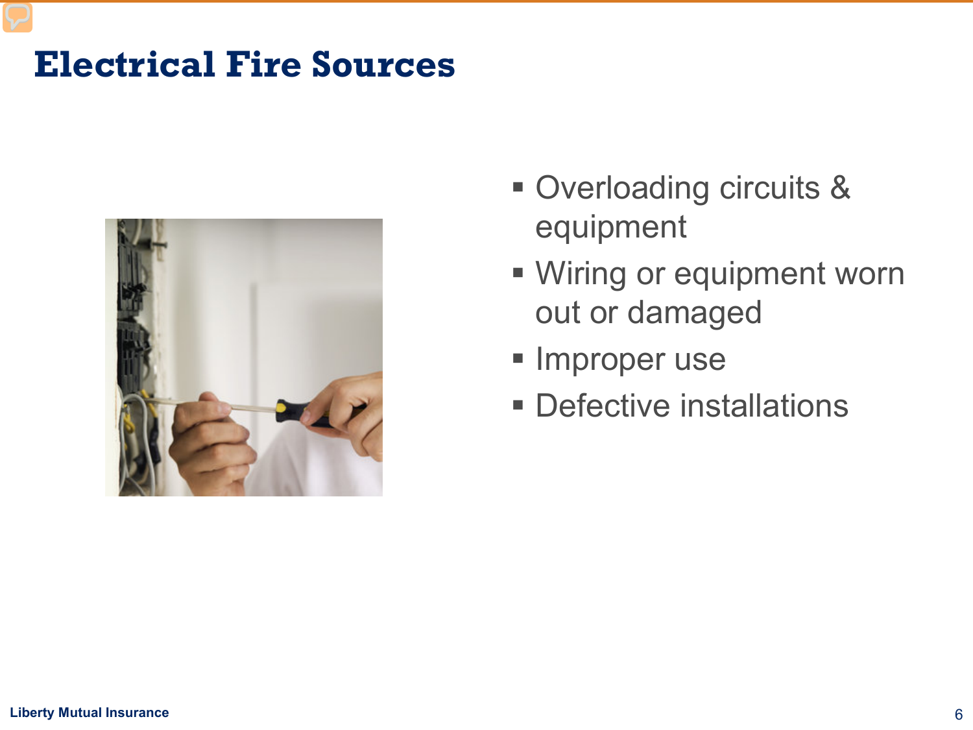#### **Electrical Fire Sources**



- Overloading circuits & equipment
- **Wiring or equipment worn** out or damaged
- **Improper use**
- **Defective installations**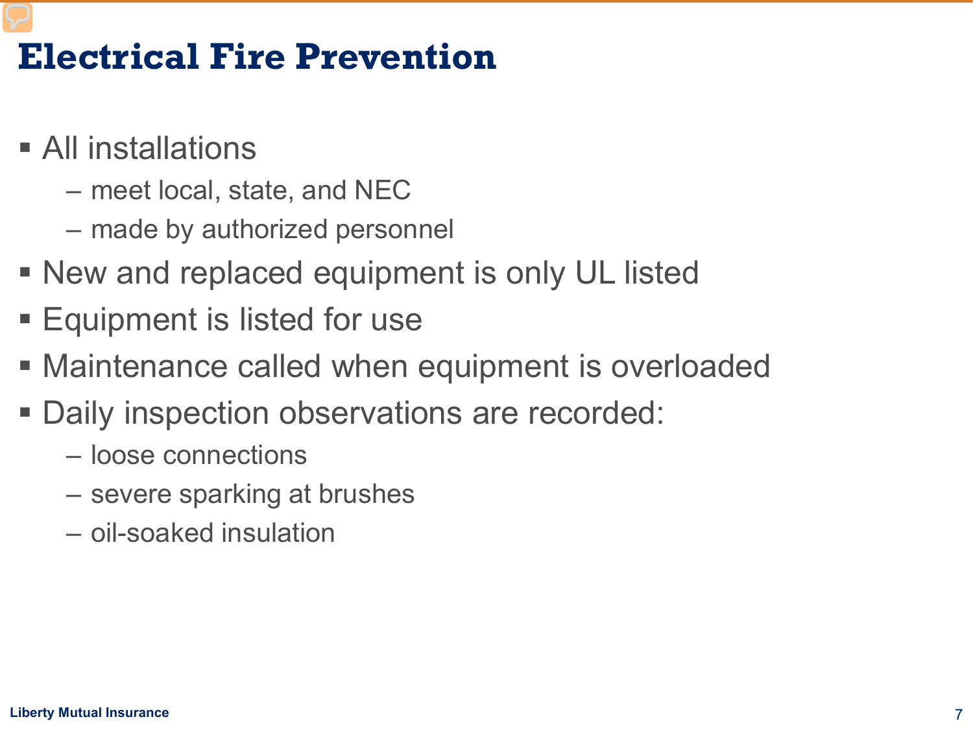#### **Electrical Fire Prevention**

- All installations
	- meet local, state, and NEC
	- made by authorized personnel
- New and replaced equipment is only UL listed
- **Equipment is listed for use**
- Maintenance called when equipment is overloaded
- Daily inspection observations are recorded:
	- loose connections
	- severe sparking at brushes
	- oil-soaked insulation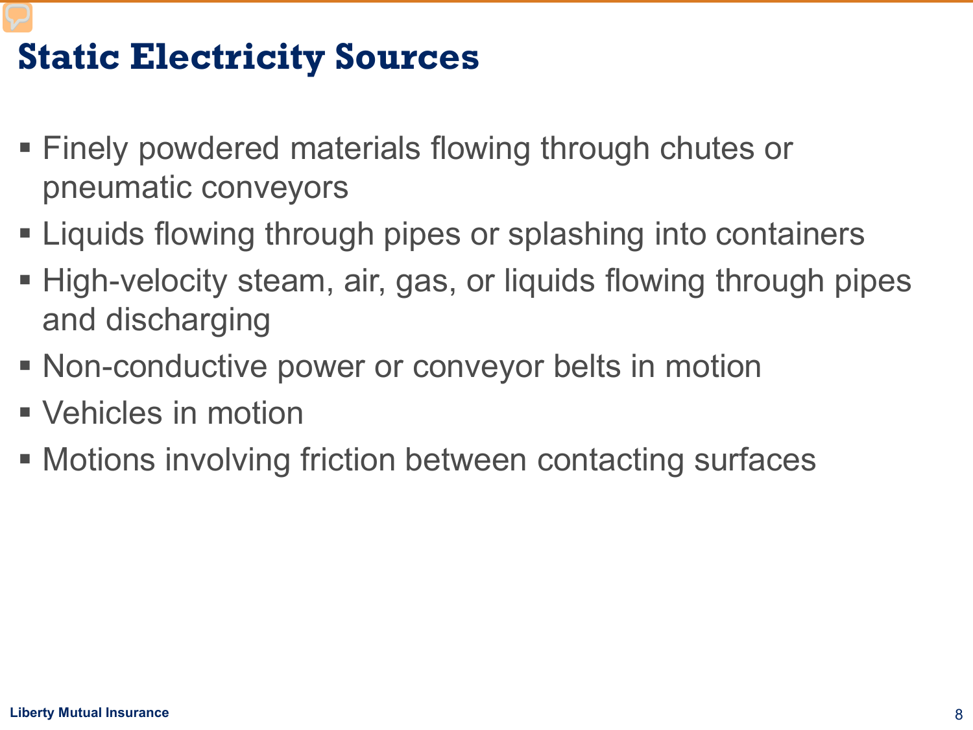# **Static Electricity Sources**

- Finely powdered materials flowing through chutes or pneumatic conveyors
- **Example 2 Figuids flowing through pipes or splashing into containers**
- High-velocity steam, air, gas, or liquids flowing through pipes and discharging
- Non-conductive power or conveyor belts in motion
- Vehicles in motion
- **Motions involving friction between contacting surfaces**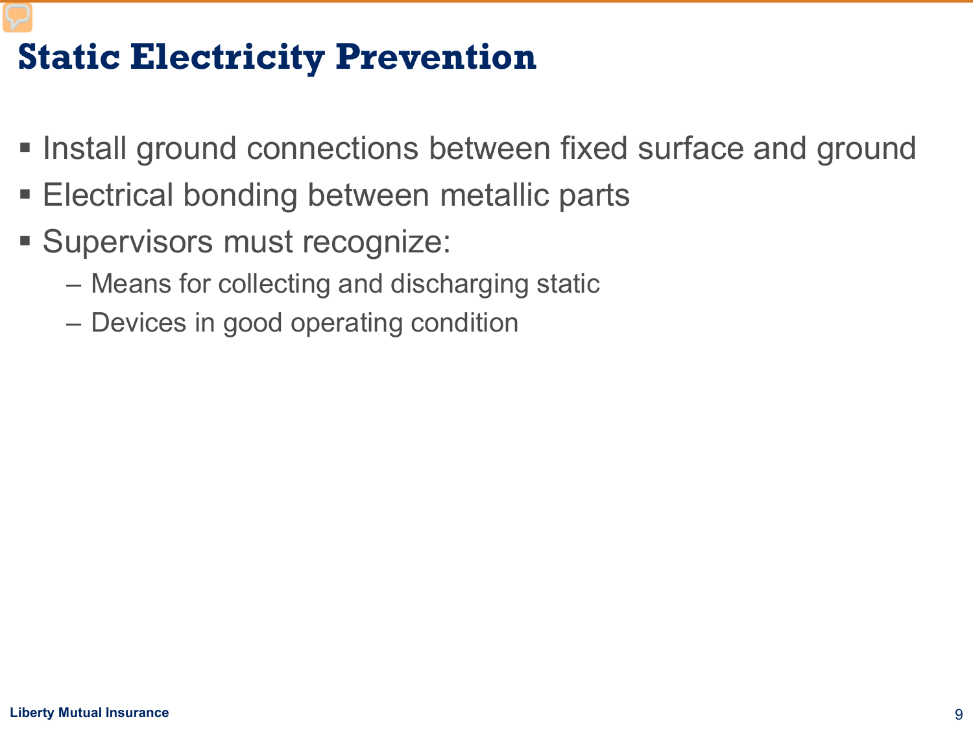## **Static Electricity Prevention**

- **Install ground connections between fixed surface and ground**
- Electrical bonding between metallic parts
- Supervisors must recognize:
	- Means for collecting and discharging static
	- Devices in good operating condition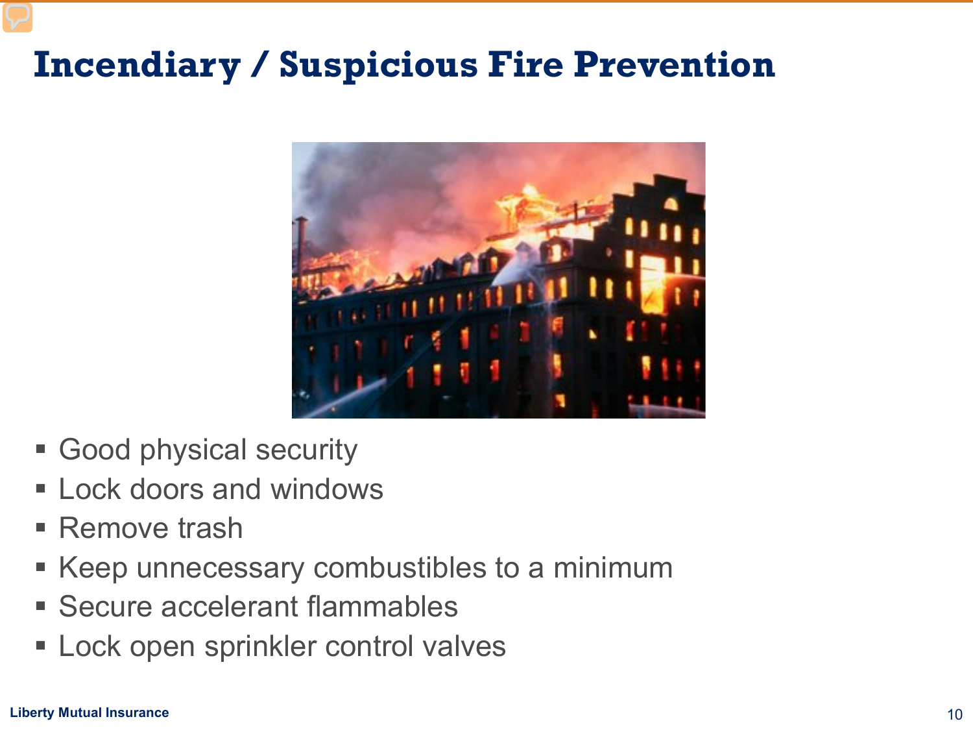### **Incendiary / Suspicious Fire Prevention**



- Good physical security
- **ELock doors and windows**
- Remove trash
- Keep unnecessary combustibles to a minimum
- Secure accelerant flammables
- **Lock open sprinkler control valves**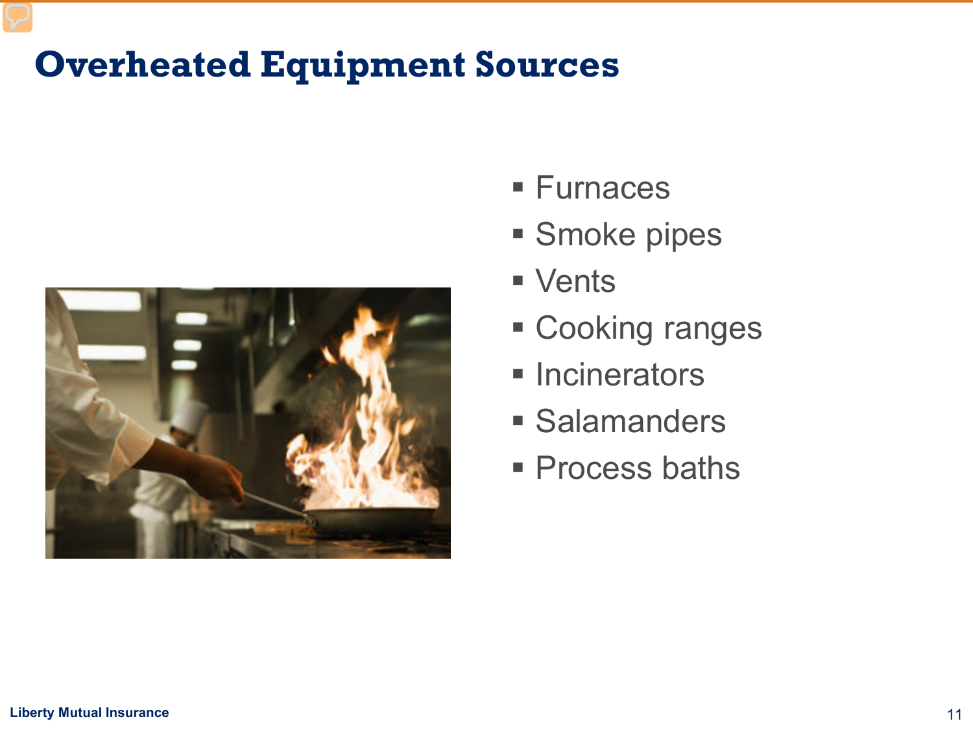# **Overheated Equipment Sources**



- Furnaces
- **Smoke pipes**
- **vents**
- Cooking ranges
- **Incinerators**
- **Salamanders**
- **Process baths**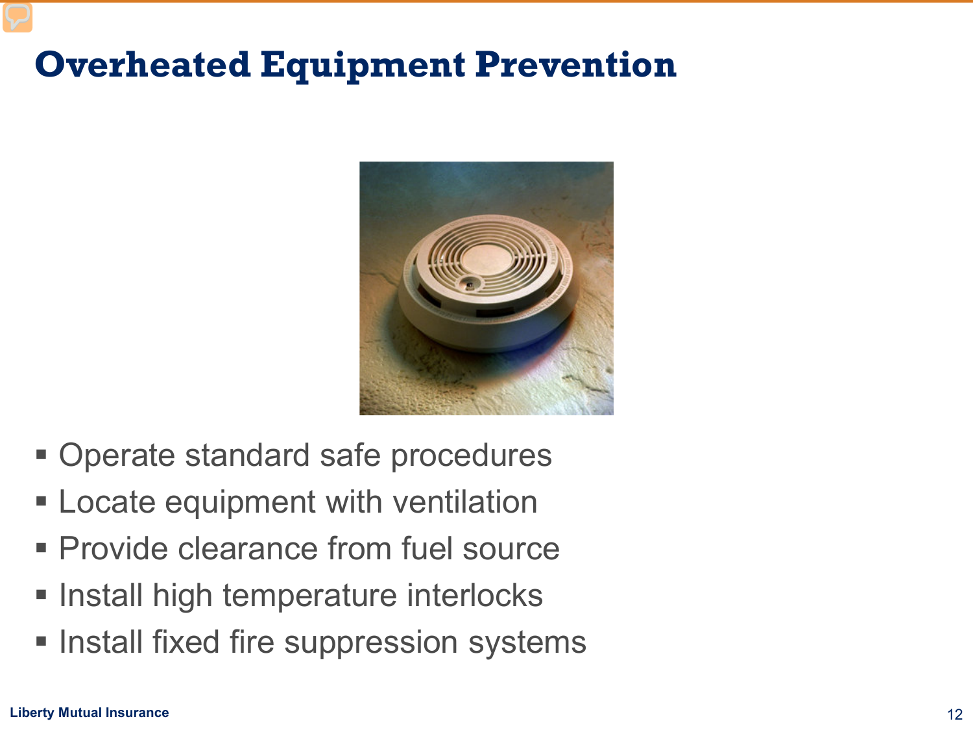# **Overheated Equipment Prevention**



- Operate standard safe procedures
- **Example 2** Locate equipment with ventilation
- **Provide clearance from fuel source**
- **Install high temperature interlocks**
- **Install fixed fire suppression systems**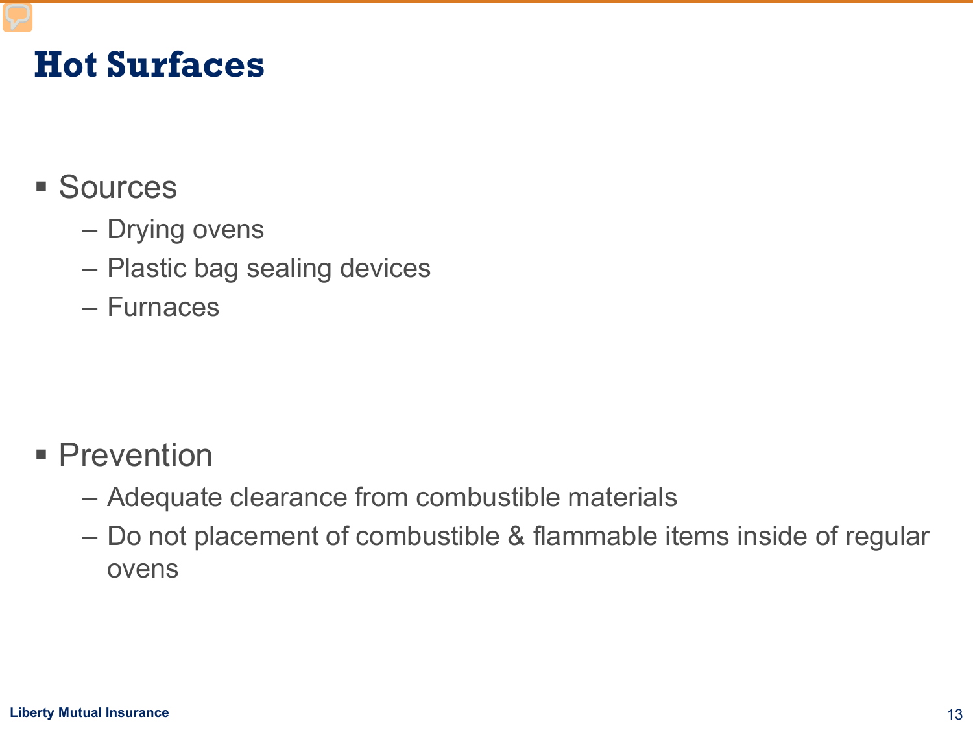#### **Hot Surfaces**

#### **Sources**

- Drying ovens
- Plastic bag sealing devices
- Furnaces

- **Prevention** 
	- Adequate clearance from combustible materials
	- Do not placement of combustible & flammable items inside of regular ovens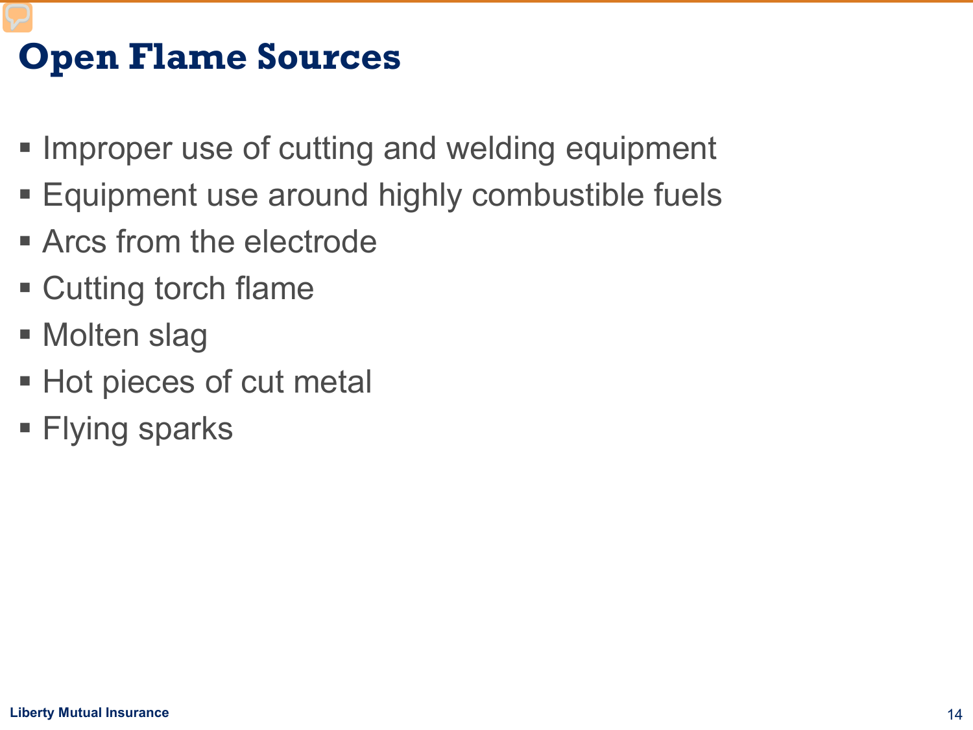# **Open Flame Sources**

- **Improper use of cutting and welding equipment**
- **Equipment use around highly combustible fuels**
- **Arcs from the electrode**
- Cutting torch flame
- Molten slag
- **Hot pieces of cut metal**
- **Flying sparks**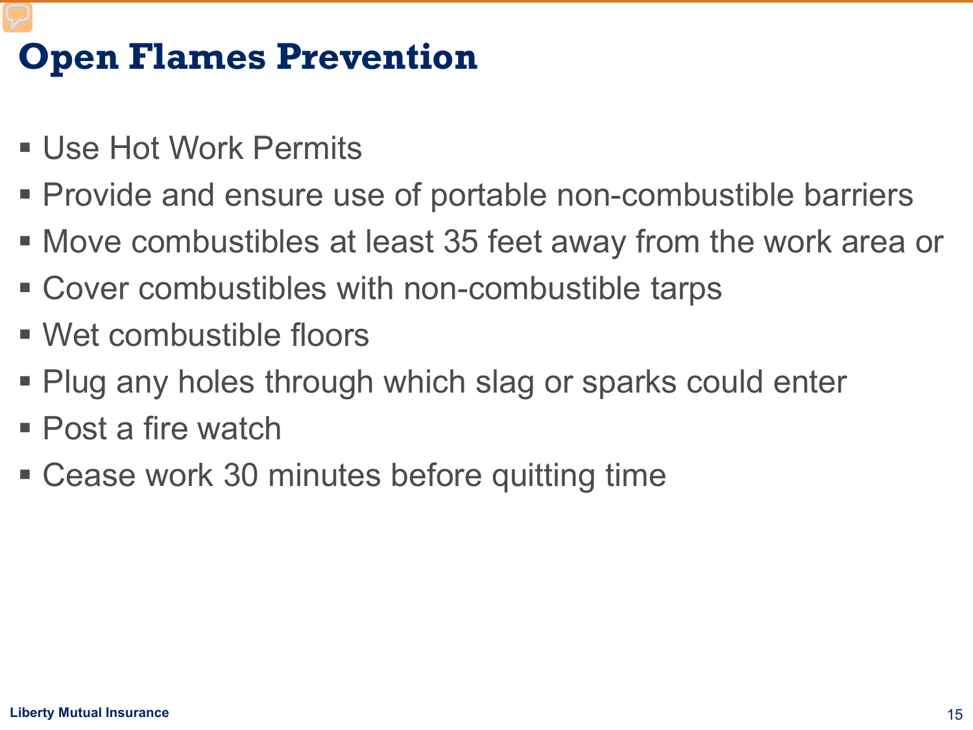## **Open Flames Prevention**

- Use Hot Work Permits
- Provide and ensure use of portable non-combustible barriers
- Move combustibles at least 35 feet away from the work area or
- Cover combustibles with non-combustible tarps
- Wet combustible floors
- Plug any holes through which slag or sparks could enter
- Post a fire watch
- Cease work 30 minutes before quitting time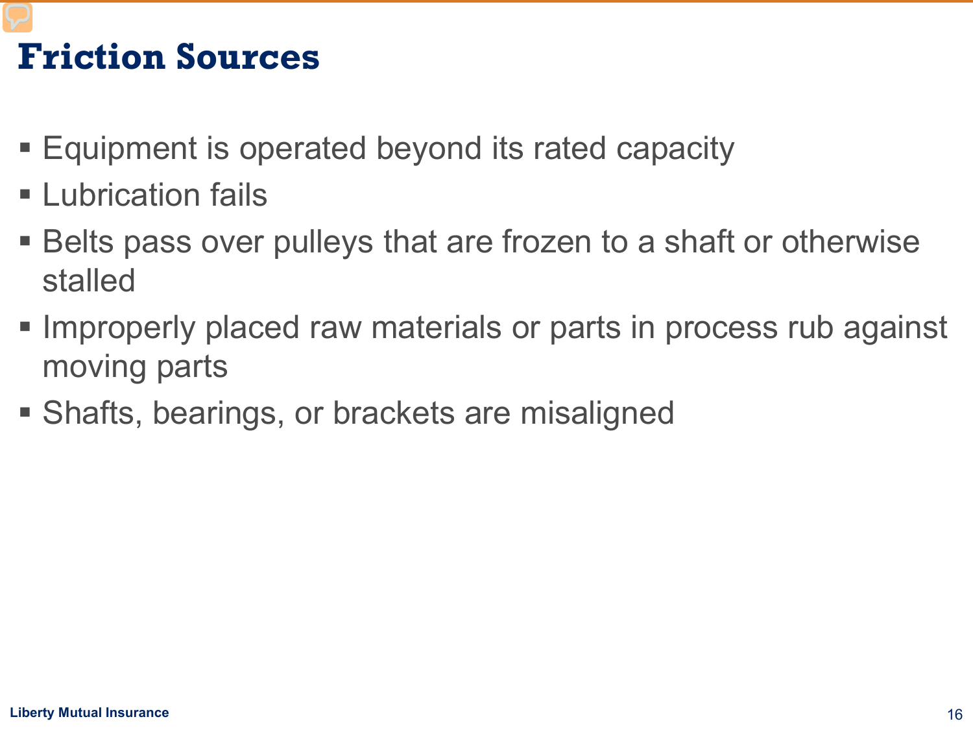# **Friction Sources**

- Equipment is operated beyond its rated capacity
- **Lubrication fails**
- Belts pass over pulleys that are frozen to a shaft or otherwise stalled
- **Improperly placed raw materials or parts in process rub against** moving parts
- Shafts, bearings, or brackets are misaligned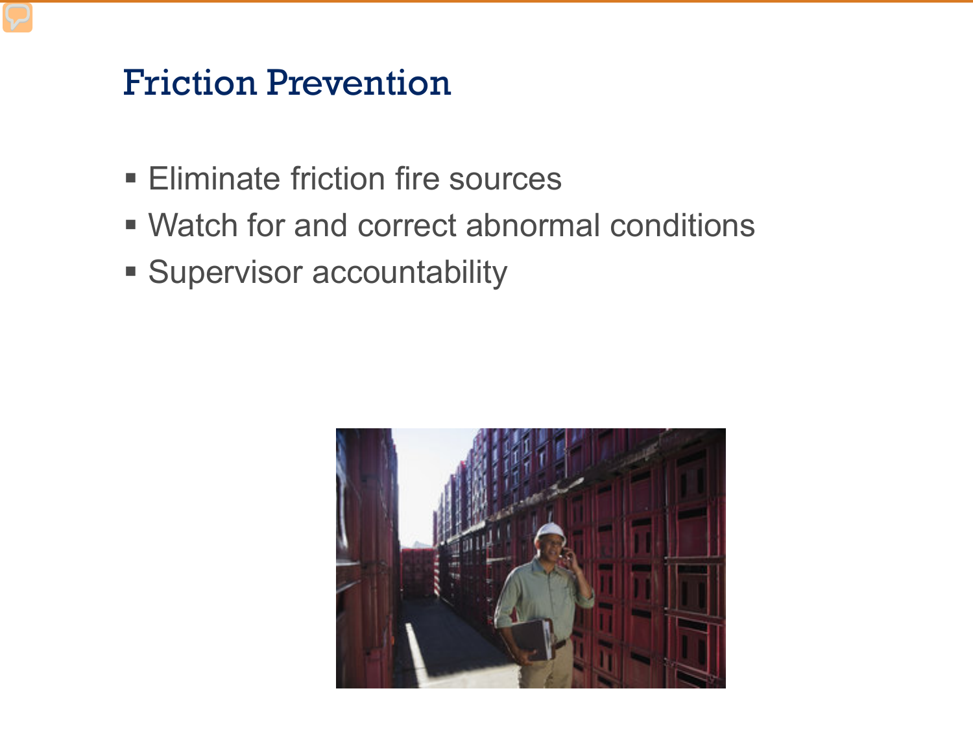#### Friction Prevention

- **Eliminate friction fire sources**
- Watch for and correct abnormal conditions
- **Supervisor accountability**

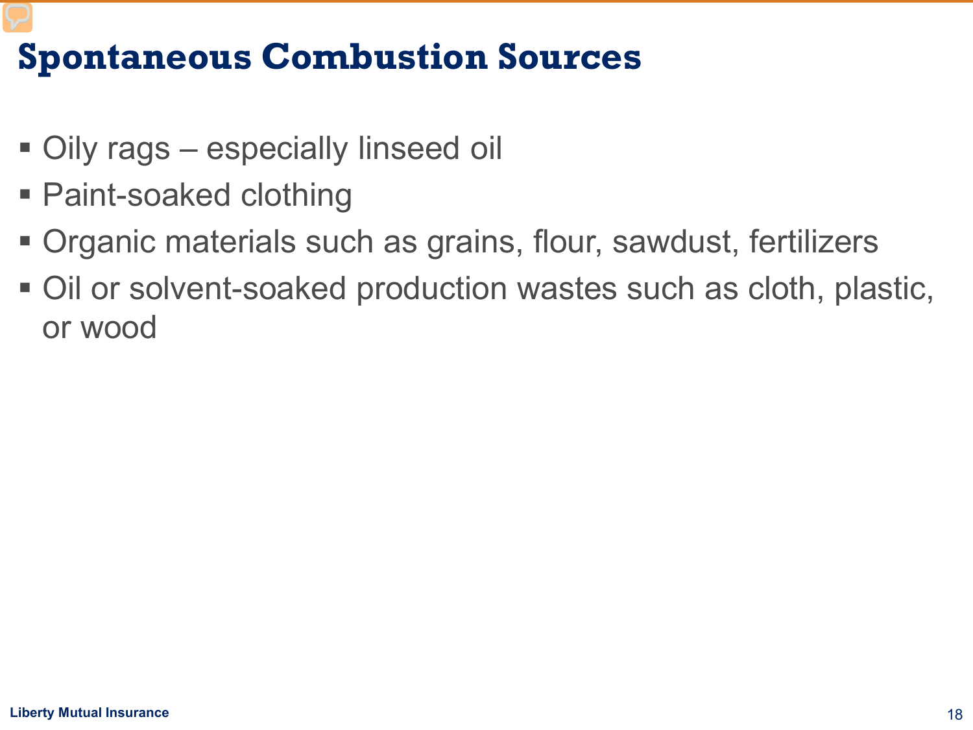#### **Spontaneous Combustion Sources**

- Oily rags especially linseed oil
- Paint-soaked clothing
- Organic materials such as grains, flour, sawdust, fertilizers
- Oil or solvent-soaked production wastes such as cloth, plastic, or wood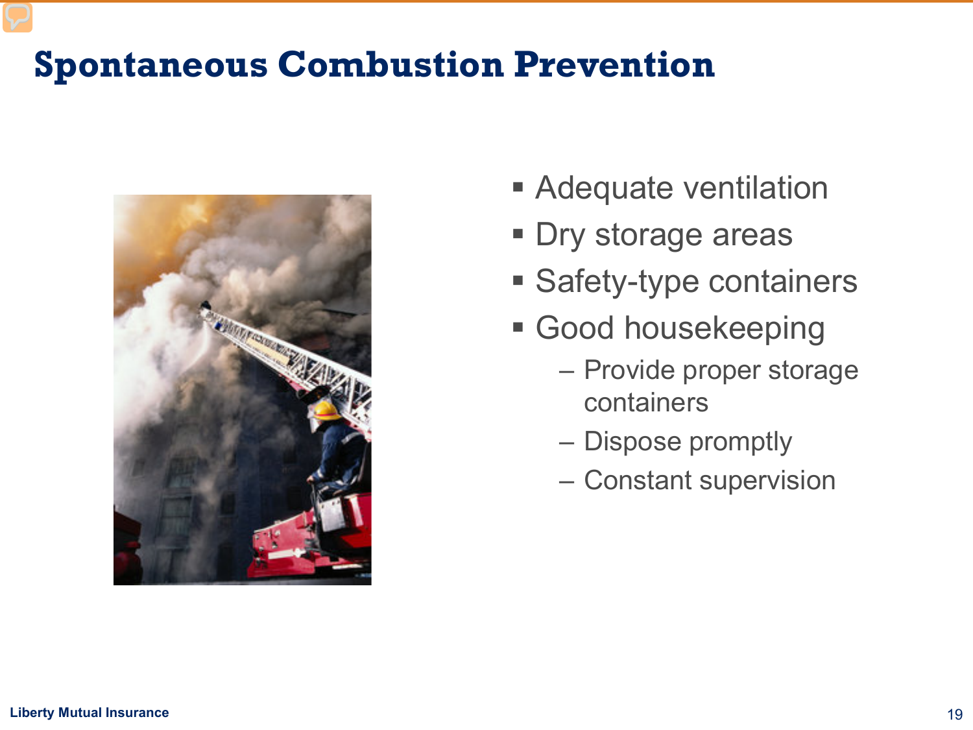#### **Spontaneous Combustion Prevention**



- **Adequate ventilation**
- **Dry storage areas**
- **Safety-type containers**
- **Good housekeeping** 
	- Provide proper storage containers
	- Dispose promptly
	- Constant supervision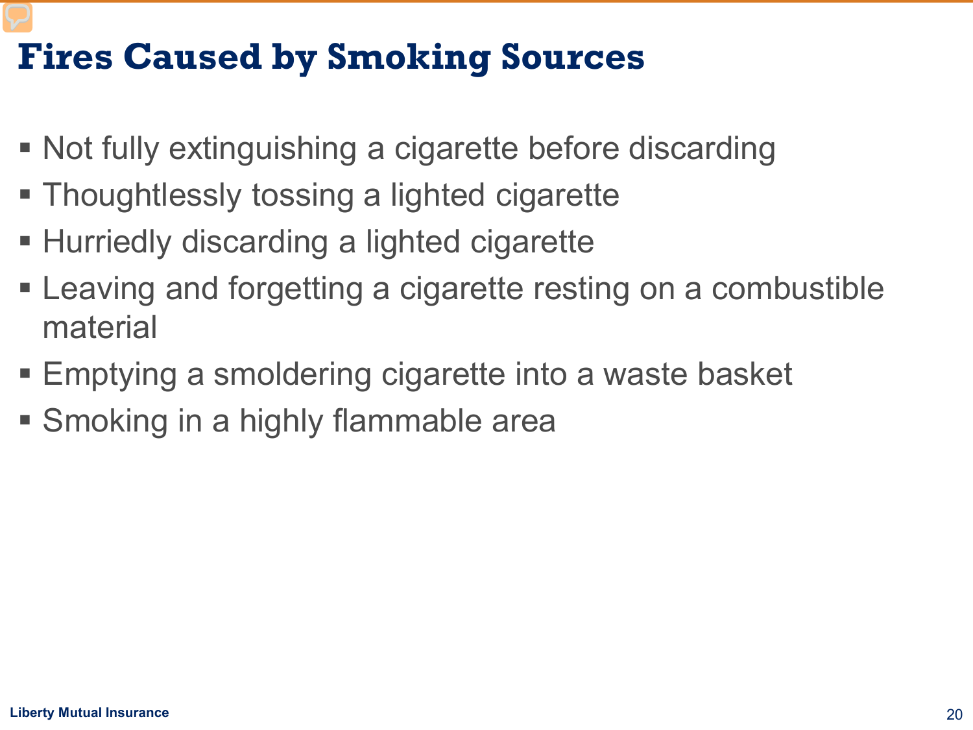# **Fires Caused by Smoking Sources**

- Not fully extinguishing a cigarette before discarding
- **Thoughtlessly tossing a lighted cigarette**
- Hurriedly discarding a lighted cigarette
- Leaving and forgetting a cigarette resting on a combustible material
- Emptying a smoldering cigarette into a waste basket
- **Smoking in a highly flammable area**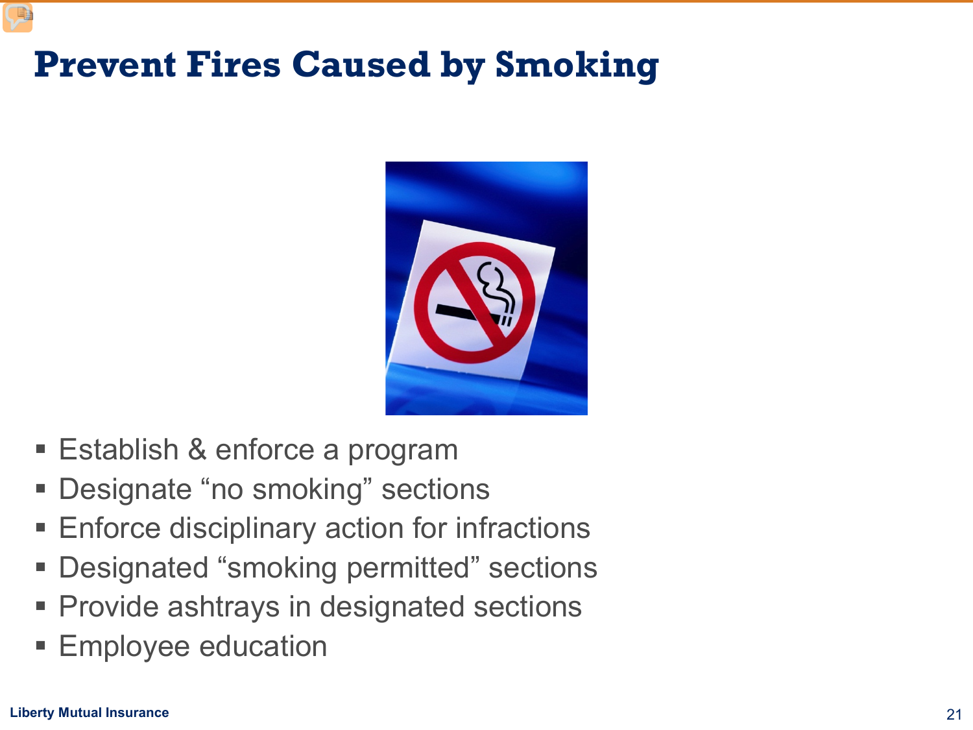## **Prevent Fires Caused by Smoking**



- **Establish & enforce a program**
- **Designate "no smoking" sections**
- **Enforce disciplinary action for infractions**
- Designated "smoking permitted" sections
- **Provide ashtrays in designated sections**
- Employee education

E)